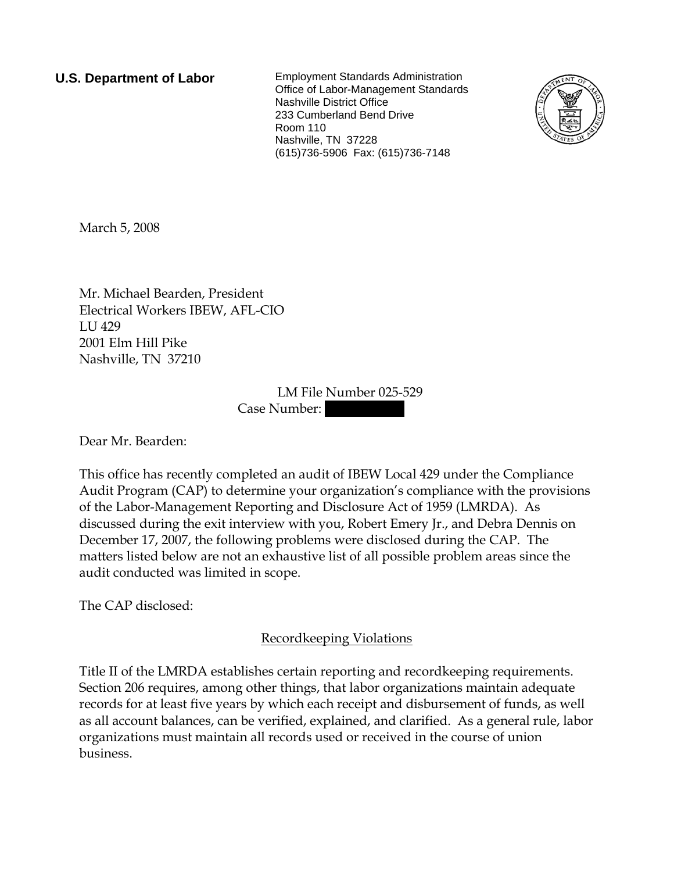**U.S. Department of Labor** Employment Standards Administration Office of Labor-Management Standards Nashville District Office 233 Cumberland Bend Drive Room 110 Nashville, TN 37228 (615)736-5906 Fax: (615)736-7148



March 5, 2008

Mr. Michael Bearden, President Electrical Workers IBEW, AFL-CIO LU 429 2001 Elm Hill Pike Nashville, TN 37210

> LM File Number 025-529 Case Number:

Dear Mr. Bearden:

This office has recently completed an audit of IBEW Local 429 under the Compliance Audit Program (CAP) to determine your organization's compliance with the provisions of the Labor-Management Reporting and Disclosure Act of 1959 (LMRDA). As discussed during the exit interview with you, Robert Emery Jr., and Debra Dennis on December 17, 2007, the following problems were disclosed during the CAP. The matters listed below are not an exhaustive list of all possible problem areas since the audit conducted was limited in scope.

The CAP disclosed:

Recordkeeping Violations

Title II of the LMRDA establishes certain reporting and recordkeeping requirements. Section 206 requires, among other things, that labor organizations maintain adequate records for at least five years by which each receipt and disbursement of funds, as well as all account balances, can be verified, explained, and clarified. As a general rule, labor organizations must maintain all records used or received in the course of union business.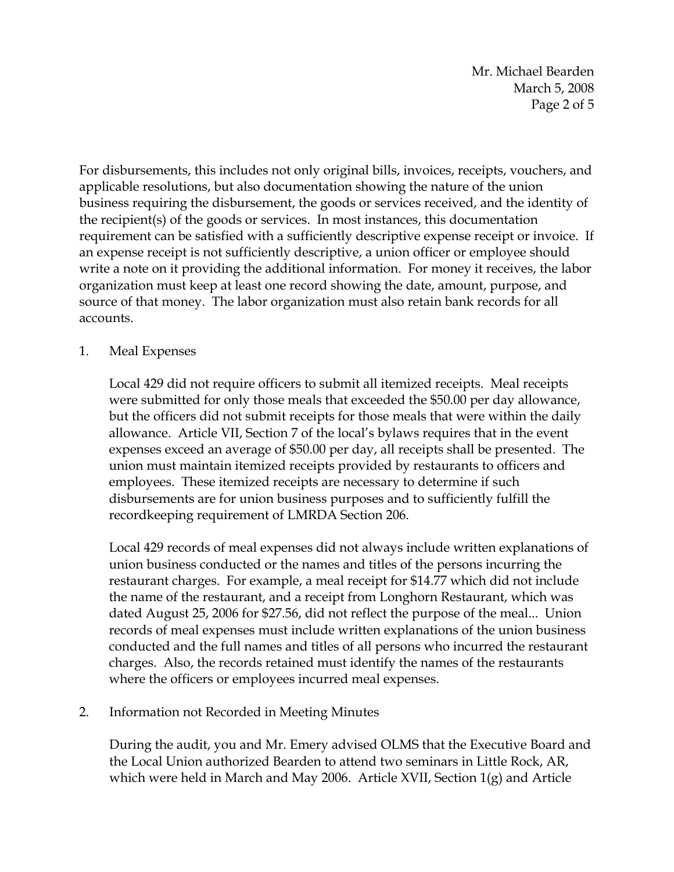Mr. Michael Bearden March 5, 2008 Page 2 of 5

For disbursements, this includes not only original bills, invoices, receipts, vouchers, and applicable resolutions, but also documentation showing the nature of the union business requiring the disbursement, the goods or services received, and the identity of the recipient(s) of the goods or services. In most instances, this documentation requirement can be satisfied with a sufficiently descriptive expense receipt or invoice. If an expense receipt is not sufficiently descriptive, a union officer or employee should write a note on it providing the additional information. For money it receives, the labor organization must keep at least one record showing the date, amount, purpose, and source of that money. The labor organization must also retain bank records for all accounts.

## 1. Meal Expenses

Local 429 did not require officers to submit all itemized receipts. Meal receipts were submitted for only those meals that exceeded the \$50.00 per day allowance, but the officers did not submit receipts for those meals that were within the daily allowance. Article VII, Section 7 of the local's bylaws requires that in the event expenses exceed an average of \$50.00 per day, all receipts shall be presented. The union must maintain itemized receipts provided by restaurants to officers and employees. These itemized receipts are necessary to determine if such disbursements are for union business purposes and to sufficiently fulfill the recordkeeping requirement of LMRDA Section 206.

Local 429 records of meal expenses did not always include written explanations of union business conducted or the names and titles of the persons incurring the restaurant charges. For example, a meal receipt for \$14.77 which did not include the name of the restaurant, and a receipt from Longhorn Restaurant, which was dated August 25, 2006 for \$27.56, did not reflect the purpose of the meal... Union records of meal expenses must include written explanations of the union business conducted and the full names and titles of all persons who incurred the restaurant charges. Also, the records retained must identify the names of the restaurants where the officers or employees incurred meal expenses.

### 2. Information not Recorded in Meeting Minutes

During the audit, you and Mr. Emery advised OLMS that the Executive Board and the Local Union authorized Bearden to attend two seminars in Little Rock, AR, which were held in March and May 2006. Article XVII, Section 1(g) and Article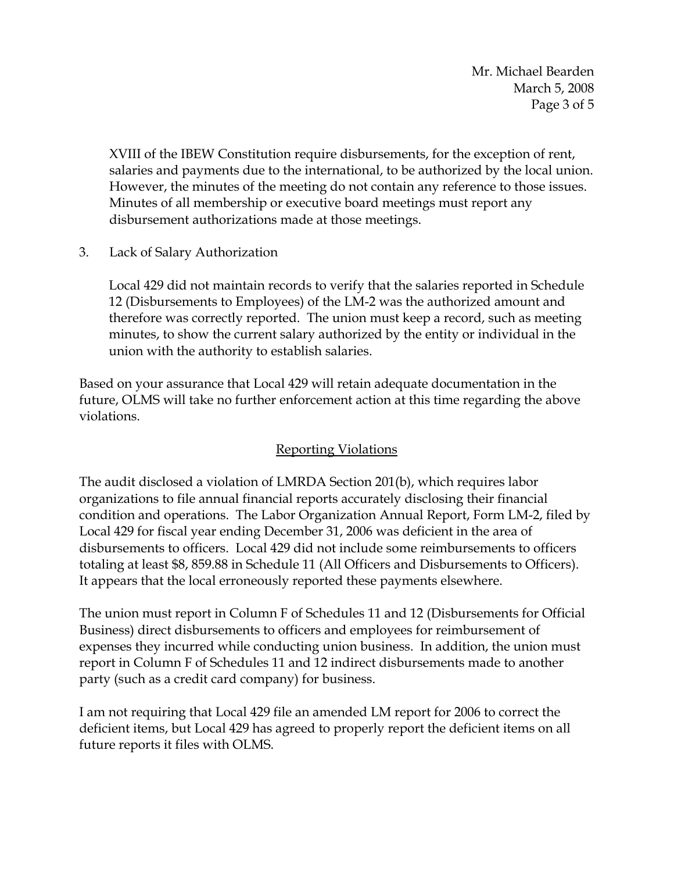Mr. Michael Bearden March 5, 2008 Page 3 of 5

XVIII of the IBEW Constitution require disbursements, for the exception of rent, salaries and payments due to the international, to be authorized by the local union. However, the minutes of the meeting do not contain any reference to those issues. Minutes of all membership or executive board meetings must report any disbursement authorizations made at those meetings.

3. Lack of Salary Authorization

Local 429 did not maintain records to verify that the salaries reported in Schedule 12 (Disbursements to Employees) of the LM-2 was the authorized amount and therefore was correctly reported. The union must keep a record, such as meeting minutes, to show the current salary authorized by the entity or individual in the union with the authority to establish salaries.

Based on your assurance that Local 429 will retain adequate documentation in the future, OLMS will take no further enforcement action at this time regarding the above violations.

# Reporting Violations

The audit disclosed a violation of LMRDA Section 201(b), which requires labor organizations to file annual financial reports accurately disclosing their financial condition and operations. The Labor Organization Annual Report, Form LM-2, filed by Local 429 for fiscal year ending December 31, 2006 was deficient in the area of disbursements to officers. Local 429 did not include some reimbursements to officers totaling at least \$8, 859.88 in Schedule 11 (All Officers and Disbursements to Officers). It appears that the local erroneously reported these payments elsewhere.

The union must report in Column F of Schedules 11 and 12 (Disbursements for Official Business) direct disbursements to officers and employees for reimbursement of expenses they incurred while conducting union business. In addition, the union must report in Column F of Schedules 11 and 12 indirect disbursements made to another party (such as a credit card company) for business.

I am not requiring that Local 429 file an amended LM report for 2006 to correct the deficient items, but Local 429 has agreed to properly report the deficient items on all future reports it files with OLMS.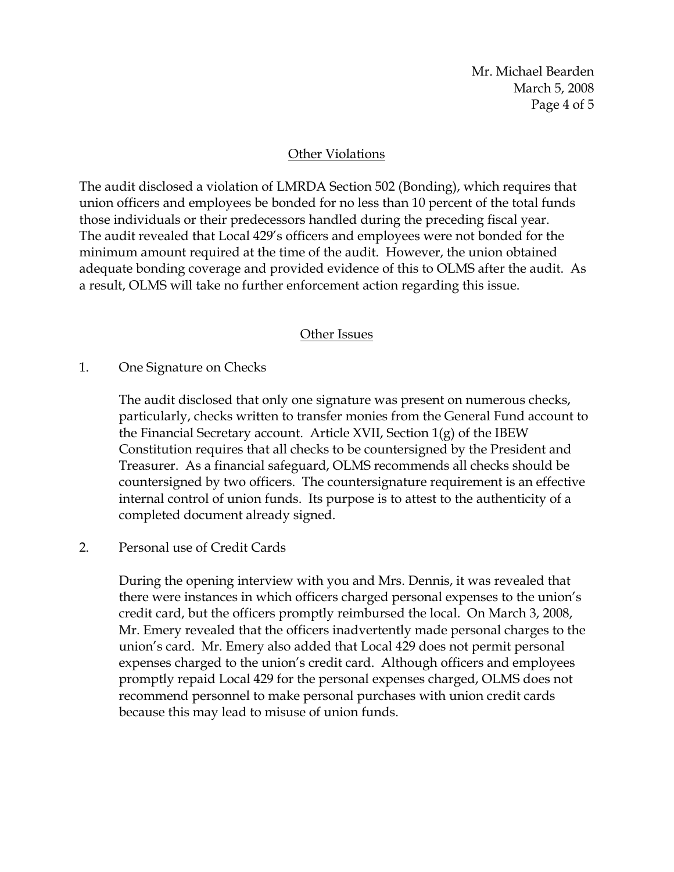Mr. Michael Bearden March 5, 2008 Page 4 of 5

### Other Violations

The audit disclosed a violation of LMRDA Section 502 (Bonding), which requires that union officers and employees be bonded for no less than 10 percent of the total funds those individuals or their predecessors handled during the preceding fiscal year. The audit revealed that Local 429's officers and employees were not bonded for the minimum amount required at the time of the audit. However, the union obtained adequate bonding coverage and provided evidence of this to OLMS after the audit. As a result, OLMS will take no further enforcement action regarding this issue.

### Other Issues

### 1. One Signature on Checks

The audit disclosed that only one signature was present on numerous checks, particularly, checks written to transfer monies from the General Fund account to the Financial Secretary account. Article XVII, Section 1(g) of the IBEW Constitution requires that all checks to be countersigned by the President and Treasurer. As a financial safeguard, OLMS recommends all checks should be countersigned by two officers. The countersignature requirement is an effective internal control of union funds. Its purpose is to attest to the authenticity of a completed document already signed.

### 2. Personal use of Credit Cards

During the opening interview with you and Mrs. Dennis, it was revealed that there were instances in which officers charged personal expenses to the union's credit card, but the officers promptly reimbursed the local. On March 3, 2008, Mr. Emery revealed that the officers inadvertently made personal charges to the union's card. Mr. Emery also added that Local 429 does not permit personal expenses charged to the union's credit card. Although officers and employees promptly repaid Local 429 for the personal expenses charged, OLMS does not recommend personnel to make personal purchases with union credit cards because this may lead to misuse of union funds.